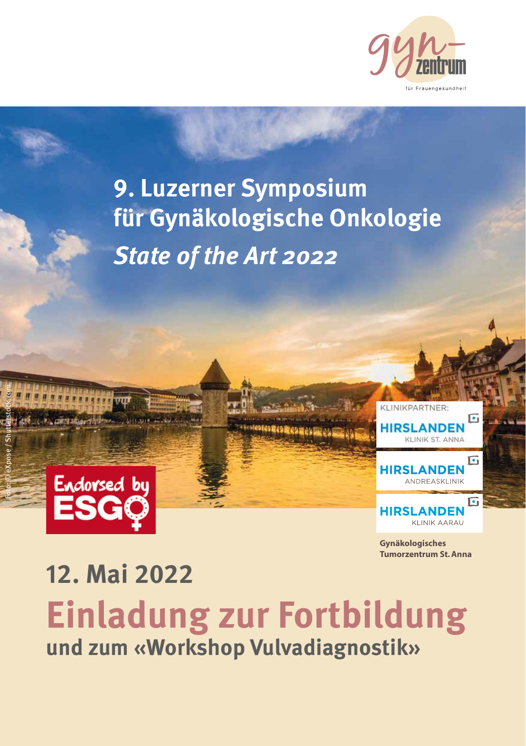

### **9. Luzerner Symposium für Gynäkologische Onkologie State of the Art 2022**



Foto: © eXpose / Shutterstock.com



**Gynäkologisches Tumorzentrum St. Anna**

### **12. Mai 2022 Einladung zur Fortbildung und zum «Workshop Vulvadiagnostik»**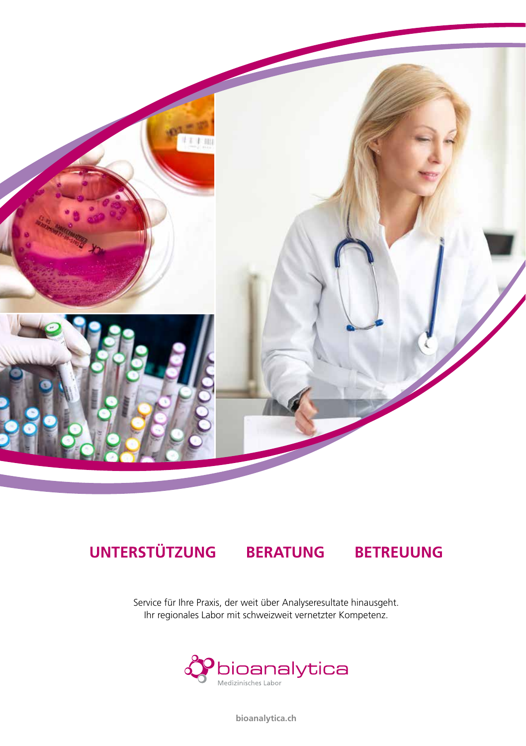

#### **UNTERSTÜTZUNG BERATUNG BETREUUNG**

Service für Ihre Praxis, der weit über Analyseresultate hinausgeht. Ihr regionales Labor mit schweizweit vernetzter Kompetenz.



**bioanalytica.ch**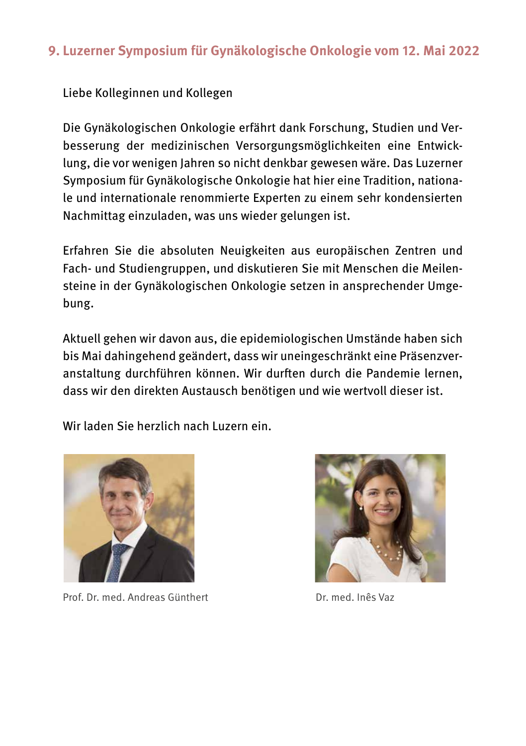#### **9. Luzerner Symposium für Gynäkologische Onkologie vom 12. Mai 2022**

Liebe Kolleginnen und Kollegen

Die Gynäkologischen Onkologie erfährt dank Forschung, Studien und Verbesserung der medizinischen Versorgungsmöglichkeiten eine Entwicklung, die vor wenigen Jahren so nicht denkbar gewesen wäre. Das Luzerner Symposium für Gynäkologische Onkologie hat hier eine Tradition, nationale und internationale renommierte Experten zu einem sehr kondensierten Nachmittag einzuladen, was uns wieder gelungen ist.

Erfahren Sie die absoluten Neuigkeiten aus europäischen Zentren und Fach- und Studiengruppen, und diskutieren Sie mit Menschen die Meilensteine in der Gynäkologischen Onkologie setzen in ansprechender Umgebung.

Aktuell gehen wir davon aus, die epidemiologischen Umstände haben sich bis Mai dahingehend geändert, dass wir uneingeschränkt eine Präsenzveranstaltung durchführen können. Wir durften durch die Pandemie lernen, dass wir den direkten Austausch benötigen und wie wertvoll dieser ist.

Wir laden Sie herzlich nach Luzern ein.



Prof. Dr. med. Andreas Günthert Dr. med. Inês Vaz

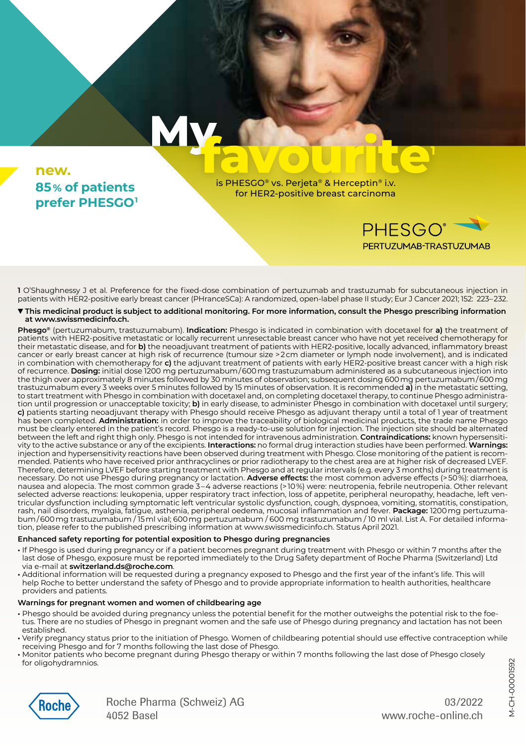#### **new. 85 % of patients prefer PHESGO<sup>1</sup>**

is PHESGO® vs. Perjeta® & Herceptin® i.v. for HER2-positive breast carcinoma



**1**

PERTUZUMAB-TRASTUZUMAB

**1** O'Shaughnessy J et al. Preference for the fixed-dose combination of pertuzumab and trastuzumab for subcutaneous injection in patients with HER2-positive early breast cancer (PHranceSCa): A randomized, open-label phase II study; Eur J Cancer 2021; 152: 223– 232.

**This medicinal product is subject to additional monitoring. For more information, consult the Phesgo prescribing information at www.swissmedicinfo.ch.**

**Phesgo®** (pertuzumabum, trastuzumabum). **Indication:** Phesgo is indicated in combination with docetaxel for **a)** the treatment of patients with HER2-positive metastatic or locally recurrent unresectable breast cancer who have not yet received chemotherapy for their metastatic disease, and for **b)** the neoadjuvant treatment of patients with HER2-positive, locally advanced, inflammatory breast cancer or early breast cancer at high risk of recurrence (tumour size > 2 cm diameter or lymph node involvement), and is indicated in combination with chemotherapy for **c)** the adjuvant treatment of patients with early HER2-positive breast cancer with a high risk of recurrence. **Dosing:** initial dose 1200 mg pertuzumabum / 600 mg trastuzumabum administered as a subcutaneous injection into the thigh over approximately 8 minutes followed by 30 minutes of observation; subsequent dosing 600 mg pertuzumabum / 600 mg trastuzumabum every 3 weeks over 5 minutes followed by 15 minutes of observation. It is recommended **a)** in the metastatic setting, to start treatment with Phesgo in combination with docetaxel and, on completing docetaxel therapy, to continue Phesgo administration until progression or unacceptable toxicity; **b)** in early disease, to administer Phesgo in combination with docetaxel until surgery; **c)** patients starting neoadjuvant therapy with Phesgo should receive Phesgo as adjuvant therapy until a total of 1 year of treatment<br>has been completed. **Administration:** in order to improve the traceability of biological must be clearly entered in the patient's record. Phesgo is a ready-to-use solution for injection. The injection site should be alternated between the left and right thigh only. Phesgo is not intended for intravenous administration. **Contraindications:** known hypersensitivity to the active substance or any of the excipients. **Interactions:** no formal drug interaction studies have been performed. **Warnings:** injection and hypersensitivity reactions have been observed during treatment with Phesgo. Close monitoring of the patient is recommended. Patients who have received prior anthracyclines or prior radiotherapy to the chest area are at higher risk of decreased LVEF. Therefore, determining LVEF before starting treatment with Phesgo and at regular intervals (e.g. every 3 months) during treatment is necessary. Do not use Phesgo during pregnancy or lactation. **Adverse effects:** the most common adverse effects (> 50 %): diarrhoea, nausea and alopecia. The most common grade 3 – 4 adverse reactions (> 10 %) were: neutropenia, febrile neutropenia. Other relevant selected adverse reactions: leukopenia, upper respiratory tract infection, loss of appetite, peripheral neuropathy, headache, left ventricular dysfunction including symptomatic left ventricular systolic dysfunction, cough, dyspnoea, vomiting, stomatitis, constipation, rash, nail disorders, myalgia, fatigue, asthenia, peripheral oedema, mucosal inflammation and fever. **Package:** 1200 mg pertuzumabum / 600 mg trastuzumabum / 15 ml vial; 600 mg pertuzumabum / 600 mg trastuzumabum / 10 ml vial. List A. For detailed information, please refer to the published prescribing information at www.swissmedicinfo.ch. Status April 2021.

#### **Enhanced safety reporting for potential exposition to Phesgo during pregnancies**

M

- **•** If Phesgo is used during pregnancy or if a patient becomes pregnant during treatment with Phesgo or within 7 months after the last dose of Phesgo, exposure must be reported immediately to the Drug Safety department of Roche Pharma (Switzerland) Ltd via e-mail at **switzerland.ds@roche.com**.
- **•** Additional information will be requested during a pregnancy exposed to Phesgo and the first year of the infant's life. This will help Roche to better understand the safety of Phesgo and to provide appropriate information to health authorities, healthcare providers and patients.

#### **Warnings for pregnant women and women of childbearing age**

- **•** Phesgo should be avoided during pregnancy unless the potential benefit for the mother outweighs the potential risk to the foetus. There are no studies of Phesgo in pregnant women and the safe use of Phesgo during pregnancy and lactation has not been established.
- **•** Verify pregnancy status prior to the initiation of Phesgo. Women of childbearing potential should use effective contraception while receiving Phesgo and for 7 months following the last dose of Phesgo.
- **•** Monitor patients who become pregnant during Phesgo therapy or within 7 months following the last dose of Phesgo closely for oligohydramnios.



Roche Pharma (Schweiz) AG 4052 Basel

03/2022 www.roche-online.ch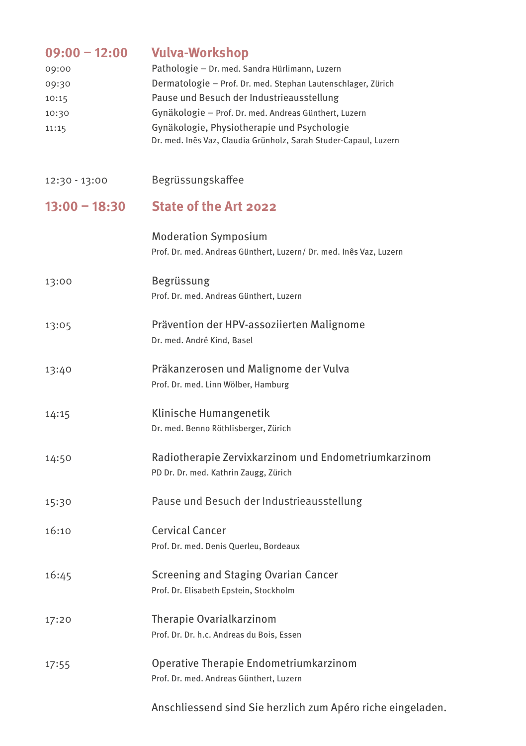| $09:00 - 12:00$<br>09:00<br>09:30<br>10:15<br>10:30<br>11:15 | <b>Vulva-Workshop</b><br>Pathologie - Dr. med. Sandra Hürlimann, Luzern<br>Dermatologie - Prof. Dr. med. Stephan Lautenschlager, Zürich<br>Pause und Besuch der Industrieausstellung<br>Gynäkologie - Prof. Dr. med. Andreas Günthert, Luzern<br>Gynäkologie, Physiotherapie und Psychologie<br>Dr. med. Inês Vaz, Claudia Grünholz, Sarah Studer-Capaul, Luzern |
|--------------------------------------------------------------|------------------------------------------------------------------------------------------------------------------------------------------------------------------------------------------------------------------------------------------------------------------------------------------------------------------------------------------------------------------|
| 12:30 - 13:00                                                | Begrüssungskaffee                                                                                                                                                                                                                                                                                                                                                |
| $13:00 - 18:30$                                              | State of the Art 2022                                                                                                                                                                                                                                                                                                                                            |
|                                                              | <b>Moderation Symposium</b><br>Prof. Dr. med. Andreas Günthert, Luzern/ Dr. med. Inês Vaz, Luzern                                                                                                                                                                                                                                                                |
| 13:00                                                        | Begrüssung<br>Prof. Dr. med. Andreas Günthert, Luzern                                                                                                                                                                                                                                                                                                            |
| 13:05                                                        | Prävention der HPV-assoziierten Malignome<br>Dr. med. André Kind, Basel                                                                                                                                                                                                                                                                                          |
| 13:40                                                        | Präkanzerosen und Malignome der Vulva<br>Prof. Dr. med. Linn Wölber, Hamburg                                                                                                                                                                                                                                                                                     |
| 14:15                                                        | Klinische Humangenetik<br>Dr. med. Benno Röthlisberger, Zürich                                                                                                                                                                                                                                                                                                   |
| 14:50                                                        | Radiotherapie Zervixkarzinom und Endometriumkarzinom<br>PD Dr. Dr. med. Kathrin Zaugg, Zürich                                                                                                                                                                                                                                                                    |
| 15:30                                                        | Pause und Besuch der Industrieausstellung                                                                                                                                                                                                                                                                                                                        |
| 16:10                                                        | Cervical Cancer<br>Prof. Dr. med. Denis Querleu, Bordeaux                                                                                                                                                                                                                                                                                                        |
| 16:45                                                        | Screening and Staging Ovarian Cancer<br>Prof. Dr. Elisabeth Epstein, Stockholm                                                                                                                                                                                                                                                                                   |
| 17:20                                                        | Therapie Ovarialkarzinom<br>Prof. Dr. Dr. h.c. Andreas du Bois, Essen                                                                                                                                                                                                                                                                                            |
| 17:55                                                        | Operative Therapie Endometriumkarzinom<br>Prof. Dr. med. Andreas Günthert, Luzern                                                                                                                                                                                                                                                                                |
|                                                              | Anschliessend sind Sie herzlich zum Apéro riche eingeladen.                                                                                                                                                                                                                                                                                                      |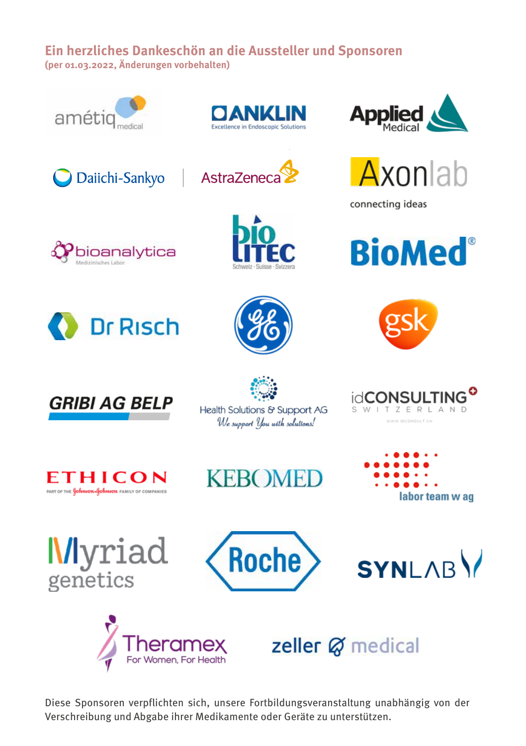#### **Ein herzliches Dankeschön an die Aussteller und Sponsoren (per 01.03.2022, Änderungen vorbehalten)**



Daiichi-Sankyo

bioanalytica

**Dr Risch** 



AstraZeneca





connecting ideas













Health Solutions & Support AG We support you with solutions!





**Myriad** genetics







zeller Ø medical

Diese Sponsoren verpflichten sich, unsere Fortbildungsveranstaltung unabhängig von der Verschreibung und Abgabe ihrer Medikamente oder Geräte zu unterstützen.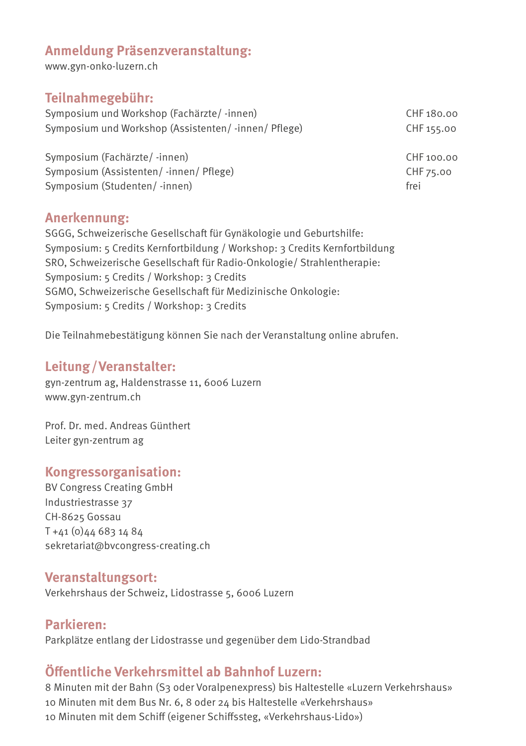#### **Anmeldung Präsenzveranstaltung:**

www.gyn-onko-luzern.ch

#### **Teilnahmegebühr:**

Symposium und Workshop (Fachärzte/ -innen) CHF 180.00 Symposium und Workshop (Assistenten/-innen/ Pflege) CHF 155.00

Symposium (Fachärzte/-innen) CHF 100.00 Symposium (Assistenten/ -innen/ Pflege) CHF 75.00 Symposium (Studenten/ -innen) frei

#### **Anerkennung:**

SGGG, Schweizerische Gesellschaft für Gynäkologie und Geburtshilfe: Symposium: 5 Credits Kernfortbildung / Workshop: 3 Credits Kernfortbildung SRO, Schweizerische Gesellschaft für Radio-Onkologie/ Strahlentherapie: Symposium: 5 Credits / Workshop: 3 Credits SGMO, Schweizerische Gesellschaft für Medizinische Onkologie: Symposium: 5 Credits / Workshop: 3 Credits

Die Teilnahmebestätigung können Sie nach der Veranstaltung online abrufen.

#### **Leitung/Veranstalter:**

gyn-zentrum ag, Haldenstrasse 11, 6006 Luzern www.gyn-zentrum.ch

Prof. Dr. med. Andreas Günthert Leiter gyn-zentrum ag

#### **Kongressorganisation:**

BV Congress Creating GmbH Industriestrasse 37 CH-8625 Gossau T +41 (0)44 683 14 84 sekretariat@bvcongress-creating.ch

#### **Veranstaltungsort:**

Verkehrshaus der Schweiz, Lidostrasse 5, 6006 Luzern

#### **Parkieren:** Parkplätze entlang der Lidostrasse und gegenüber dem Lido-Strandbad

#### **Öffentliche Verkehrsmittel ab Bahnhof Luzern:**

8 Minuten mit der Bahn (S3 oder Voralpenexpress) bis Haltestelle «Luzern Verkehrshaus» 10 Minuten mit dem Bus Nr. 6, 8 oder 24 bis Haltestelle «Verkehrshaus» 10 Minuten mit dem Schiff (eigener Schiffssteg, «Verkehrshaus-Lido»)